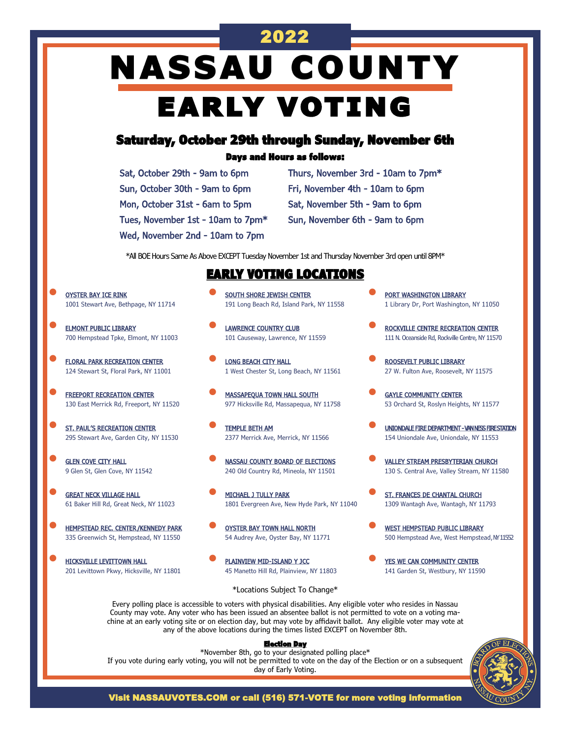# **NASSAU COUNTY** EARLY VOTING

2022

# Saturday, October 29th through Sunday, November 6th

### Days and Hours as follows:

Sat, October 29th - 9am to 6pm Sun, October 30th - 9am to 6pm Mon, October 31st - 6am to 5pm Tues, November 1st - 10am to 7pm\*

Wed, November 2nd - 10am to 7pm

Thurs, November 3rd - 10am to 7pm\* Fri, November 4th - 10am to 6pm Sat, November 5th - 9am to 6pm Sun, November 6th - 9am to 6pm

\*All BOE Hours Same As Above EXCEPT Tuesday November 1st and Thursday November 3rd open until 8PM\*

### EARLY VOTING LOCATIONS

• OYSTER BAY ICE RINK 1001 Stewart Ave, Bethpage, NY 11714

- **ELMONT PUBLIC LIBRARY** 700 Hempstead Tpke, Elmont, NY 11003
- **FLORAL PARK RECREATION CENTER** 124 Stewart St, Floral Park, NY 11001
- **FREEPORT RECREATION CENTER** 130 East Merrick Rd, Freeport, NY 11520
- **ST. PAUL'S RECREATION CENTER** 295 Stewart Ave, Garden City, NY 11530
- **GLEN COVE CITY HALL** 9 Glen St, Glen Cove, NY 11542
- **GREAT NECK VILLAGE HALL** 61 Baker Hill Rd, Great Neck, NY 11023
- **HEMPSTEAD REC. CENTER/KENNEDY PARK** 335 Greenwich St, Hempstead, NY 11550
- HICKSVILLE LEVITTOWN HALL 201 Levittown Pkwy, Hicksville, NY 11801
- SOUTH SHORE JEWISH CENTER 191 Long Beach Rd, Island Park, NY 11558
- **LAWRENCE COUNTRY CLUB** 101 Causeway, Lawrence, NY 11559
- **LONG BEACH CITY HALL** 1 West Chester St, Long Beach, NY 11561
- **MASSAPEQUA TOWN HALL SOUTH** 977 Hicksville Rd, Massapequa, NY 11758
- TEMPLE BETH AM 2377 Merrick Ave, Merrick, NY 11566
- NASSAU COUNTY BOARD OF ELECTIONS 240 Old Country Rd, Mineola, NY 11501
- MICHAEL J TULLY PARK 1801 Evergreen Ave, New Hyde Park, NY 11040
- OYSTER BAY TOWN HALL NORTH 54 Audrey Ave, Oyster Bay, NY 11771
- PLAINVIEW MID-ISLAND Y JCC 45 Manetto Hill Rd, Plainview, NY 11803
- PORT WASHINGTON LIBRARY 1 Library Dr, Port Washington, NY 11050
- ROCKVILLE CENTRE RECREATION CENTER 111 N. Oceanside Rd, Rockville Centre, NY 11570
- ROOSEVELT PUBLIC LIBRARY 27 W. Fulton Ave, Roosevelt, NY 11575
- **GAYLE COMMUNITY CENTER** 53 Orchard St, Roslyn Heights, NY 11577
- UNIONDALE FIRE DEPARTMENT VAN NESS FIRE STATION 154 Uniondale Ave, Uniondale, NY 11553
- VALLEY STREAM PRESBYTERIAN CHURCH 130 S. Central Ave, Valley Stream, NY 11580
- ST. FRANCES DE CHANTAL CHURCH 1309 Wantagh Ave, Wantagh, NY 11793
- **WEST HEMPSTEAD PUBLIC LIBRARY** 500 Hempstead Ave, West Hempstead, M'11552
- YES WE CAN COMMUNITY CENTER 141 Garden St, Westbury, NY 11590

### \*Locations Subject To Change\*

Every polling place is accessible to voters with physical disabilities. Any eligible voter who resides in Nassau County may vote. Any voter who has been issued an absentee ballot is not permitted to vote on a voting machine at an early voting site or on election day, but may vote by affidavit ballot. Any eligible voter may vote at any of the above locations during the times listed EXCEPT on November 8th.

#### Election Day

\*November 8th, go to your designated polling place\* If you vote during early voting, you will not be permitted to vote on the day of the Election or on a subsequent day of Early Voting.



Visit NASSAUVOTES.COM or call (516) 571-VOTE for more voting information